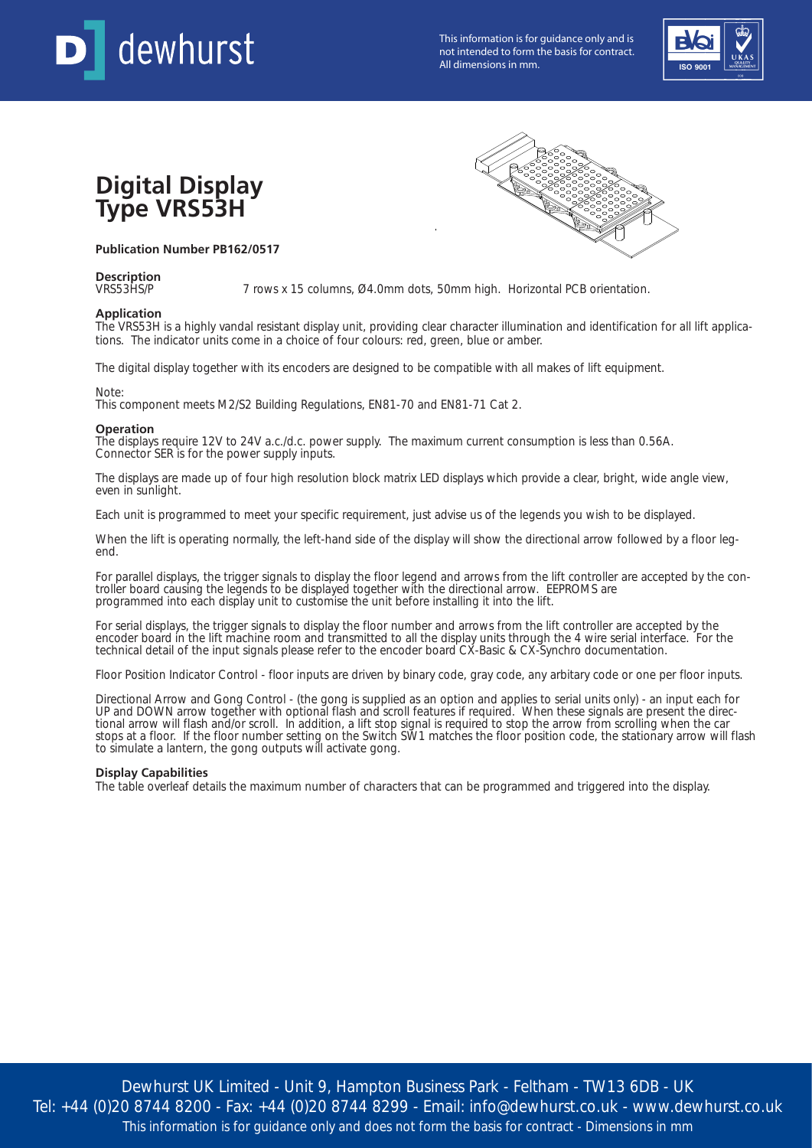

This information is for guidance only and is not intended to form the basis for contract. This information is for guidance only and is<br>not intended to form the basis for contract.<br>All dimensions in mm.



# **Digital Display Type VRS53H**

### **Publication Number PB162/0517**

# **Description**

7 rows x 15 columns, Ø4.0mm dots, 50mm high. Horizontal PCB orientation.

#### **Application**

The VRS53H is a highly vandal resistant display unit, providing clear character illumination and identification for all lift applications. The indicator units come in a choice of four colours: red, green, blue or amber.

The digital display together with its encoders are designed to be compatible with all makes of lift equipment.

Note:

This component meets M2/S2 Building Regulations, EN81-70 and EN81-71 Cat 2.

#### **Operation**

The displays require 12V to 24V a.c./d.c. power supply. The maximum current consumption is less than 0.56A. Connector SER is for the power supply inputs.

The displays are made up of four high resolution block matrix LED displays which provide a clear, bright, wide angle view, even in sunlight.

Each unit is programmed to meet your specific requirement, just advise us of the legends you wish to be displayed.

When the lift is operating normally, the left-hand side of the display will show the directional arrow followed by a floor legend.

For parallel displays, the trigger signals to display the floor legend and arrows from the lift controller are accepted by the controller board causing the legends to be displayed together with the directional arrow. EEPROMS are programmed into each display unit to customise the unit before installing it into the lift.

For serial displays, the trigger signals to display the floor number and arrows from the lift controller are accepted by the encoder board in the lift machine room and transmitted to all the display units through the 4 wire serial interface. For the technical detail of the input signals please refer to the encoder board CX-Basic & CX-Synchro documentation.

Floor Position Indicator Control - floor inputs are driven by binary code, gray code, any arbitary code or one per floor inputs.

Directional Arrow and Gong Control - (the gong is supplied as an option and applies to serial units only) - an input each for UP and DOWN arrow together with optional flash and scroll features if required. When these signals are present the directional arrow will flash and/or scroll. In addition, a lift stop signal is required to stop the arrow from scrolling when the car stops at a floor. If the floor number setting on the Switch SW1 matches the floor position code, the stationary arrow will flash to simulate a lantern, the gong outputs will activate gong.

#### **Display Capabilities**

The table overleaf details the maximum number of characters that can be programmed and triggered into the display.

Dewhurst UK Limited - Unit 9, Hampton Business Park - Feltham - TW13 6DB - UK Tel: +44 (0)20 8744 8200 - Fax: +44 (0)20 8744 8299 - Email: info@dewhurst.co.uk - www.dewhurst.co.uk This information is for guidance only and does not form the basis for contract - Dimensions in mm

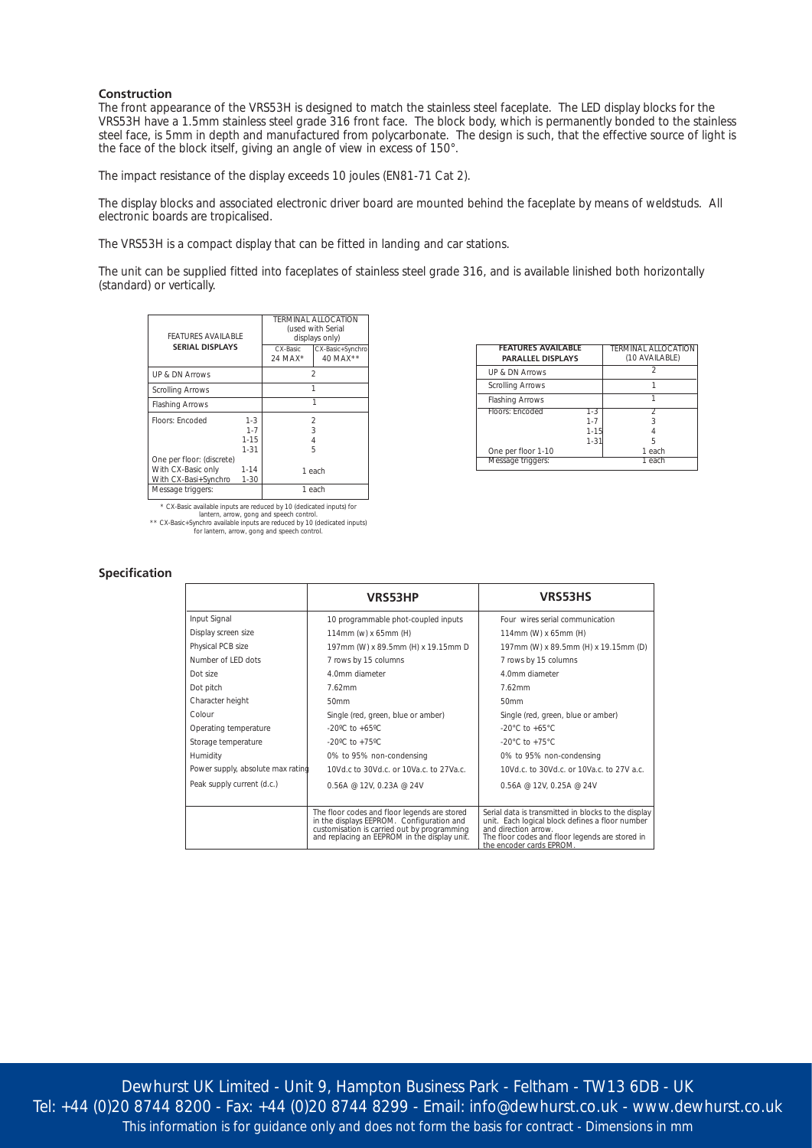#### **Construction**

The front appearance of the VRS53H is designed to match the stainless steel faceplate. The LED display blocks for the VRS53H have a 1.5mm stainless steel grade 316 front face. The block body, which is permanently bonded to the stainless steel face, is 5mm in depth and manufactured from polycarbonate. The design is such, that the effective source of light is the face of the block itself, giving an angle of view in excess of 150°.

The impact resistance of the display exceeds 10 joules (EN81-71 Cat 2).

The display blocks and associated electronic driver board are mounted behind the faceplate by means of weldstuds. All electronic boards are tropicalised.

The VRS53H is a compact display that can be fitted in landing and car stations.

The unit can be supplied fitted into faceplates of stainless steel grade 316, and is available linished both horizontally (standard) or vertically.

| FFATURES AVAILABLE<br><b>SERIAL DISPLAYS</b>                                                 |                                            | CX-Basic<br>$24$ MAX <sup>*</sup> | TERMINAL ALLOCATION<br>(used with Serial<br>displays only)<br>CX-Basic+Synchro<br>40 MAX ** |
|----------------------------------------------------------------------------------------------|--------------------------------------------|-----------------------------------|---------------------------------------------------------------------------------------------|
| <b>UP &amp; DN Arrows</b>                                                                    |                                            | $\mathfrak{D}$                    |                                                                                             |
| <b>Scrolling Arrows</b>                                                                      |                                            | 1                                 |                                                                                             |
| <b>Flashing Arrows</b>                                                                       |                                            | 1                                 |                                                                                             |
| Floors: Encoded                                                                              | $1 - 3$<br>$1 - 7$<br>$1 - 15$<br>$1 - 31$ |                                   | 2<br>3<br>$\overline{4}$<br>5                                                               |
| One per floor: (discrete)<br>With CX-Basic only<br>With CX-Basi+Synchro<br>Message triggers: | $1 - 14$<br>$1 - 30$                       |                                   | 1 each<br>1 each                                                                            |
|                                                                                              |                                            |                                   |                                                                                             |

\* CX-Basic available inputs are reduced by 10 (dedicated inputs) for<br>lantern, arrow, gong and speech control.<br>\*\* CX-Basic+Synchro available inputs are reduced by 10 (dedicated inputs)<br>for lantern, arrow, gong and speech co

| <b>FEATURES AVAILABLE</b><br><b>PARALLEL DISPLAYS</b> |          | <b>TERMINAL ALLOCATION</b><br>(10 AVAILABLE) |
|-------------------------------------------------------|----------|----------------------------------------------|
| UP & DN Arrows                                        |          |                                              |
| <b>Scrolling Arrows</b>                               |          |                                              |
| <b>Flashing Arrows</b>                                |          |                                              |
| Floors: Encoded                                       | 1-3      |                                              |
|                                                       | $1 - 7$  |                                              |
|                                                       | $1 - 15$ |                                              |
|                                                       | $1 - 31$ | ҕ                                            |
| One per floor 1-10                                    |          | 1 each                                       |
| Message triggers:                                     |          | 1 each                                       |

#### **Specification**

|                                   | <b>VRS53HP</b>                                                                                                                                                                           | <b>VRS53HS</b>                                                                                                                                                                                                |
|-----------------------------------|------------------------------------------------------------------------------------------------------------------------------------------------------------------------------------------|---------------------------------------------------------------------------------------------------------------------------------------------------------------------------------------------------------------|
| Input Signal                      | 10 programmable phot-coupled inputs                                                                                                                                                      | Four wires serial communication                                                                                                                                                                               |
| Display screen size               | 114mm (w) x 65mm (H)                                                                                                                                                                     | 114mm (W) x 65mm (H)                                                                                                                                                                                          |
| Physical PCB size                 | 197mm (W) x 89.5mm (H) x 19.15mm D                                                                                                                                                       | 197mm (W) x 89.5mm (H) x 19.15mm (D)                                                                                                                                                                          |
| Number of LED dots                | 7 rows by 15 columns                                                                                                                                                                     | 7 rows by 15 columns                                                                                                                                                                                          |
| Dot size                          | 4.0mm diameter                                                                                                                                                                           | 4.0mm diameter                                                                                                                                                                                                |
| Dot pitch                         | 7.62mm                                                                                                                                                                                   | 7.62mm                                                                                                                                                                                                        |
| Character height                  | 50mm                                                                                                                                                                                     | 50mm                                                                                                                                                                                                          |
| Colour                            | Single (red, green, blue or amber)                                                                                                                                                       | Single (red, green, blue or amber)                                                                                                                                                                            |
| Operating temperature             | $-20^{\circ}$ C to $+65^{\circ}$ C                                                                                                                                                       | -20 $^{\circ}$ C to +65 $^{\circ}$ C                                                                                                                                                                          |
| Storage temperature               | -20°C to +75°C                                                                                                                                                                           | -20 $^{\circ}$ C to +75 $^{\circ}$ C                                                                                                                                                                          |
| Humidity                          | 0% to 95% non-condensing                                                                                                                                                                 | 0% to 95% non-condensing                                                                                                                                                                                      |
| Power supply, absolute max rating | 10Vd.c to 30Vd.c. or 10Va.c. to 27Va.c.                                                                                                                                                  | 10Vd.c. to 30Vd.c. or 10Va.c. to 27V a.c.                                                                                                                                                                     |
| Peak supply current (d.c.)        | $0.56A \ @ 12V, 0.23A \ @ 24V$                                                                                                                                                           | $0.56A \ @ 12V, 0.25A \ @ 24V$                                                                                                                                                                                |
|                                   |                                                                                                                                                                                          |                                                                                                                                                                                                               |
|                                   | The floor codes and floor legends are stored<br>in the displays EEPROM. Configuration and<br>customisation is carried out by programming<br>and replacing an EEPROM in the display unit. | Serial data is transmitted in blocks to the display<br>unit. Each logical block defines a floor number<br>and direction arrow.<br>The floor codes and floor legends are stored in<br>the encoder cards EPROM. |

Dewhurst UK Limited - Unit 9, Hampton Business Park - Feltham - TW13 6DB - UK Tel: +44 (0)20 8744 8200 - Fax: +44 (0)20 8744 8299 - Email: info@dewhurst.co.uk - www.dewhurst.co.uk This information is for guidance only and does not form the basis for contract - Dimensions in mm